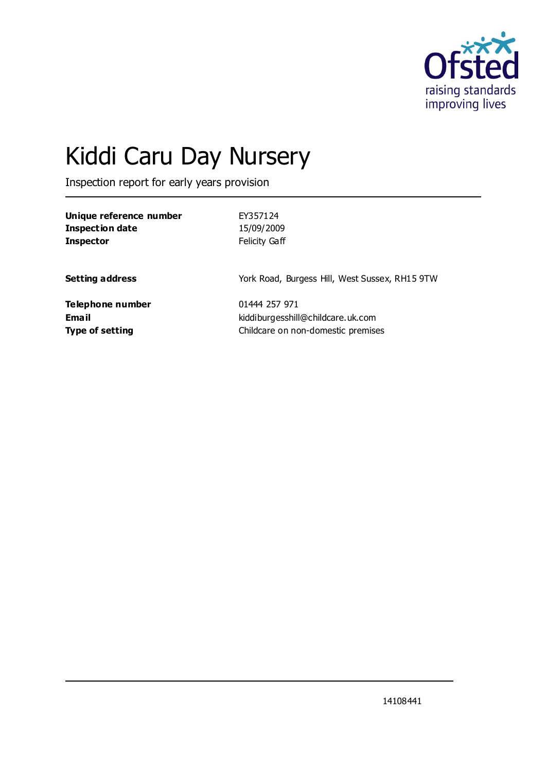

# Kiddi Caru Day Nursery

Inspection report for early years provision

| Unique reference number | EY357124                                       |
|-------------------------|------------------------------------------------|
| <b>Inspection date</b>  | 15/09/2009                                     |
| <b>Inspector</b>        | <b>Felicity Gaff</b>                           |
| <b>Setting address</b>  | York Road, Burgess Hill, West Sussex, RH15 9TW |
| Telephone number        | 01444 257 971                                  |
| Email                   | kiddiburgesshill@childcare.uk.com              |
| <b>Type of setting</b>  | Childcare on non-domestic premises             |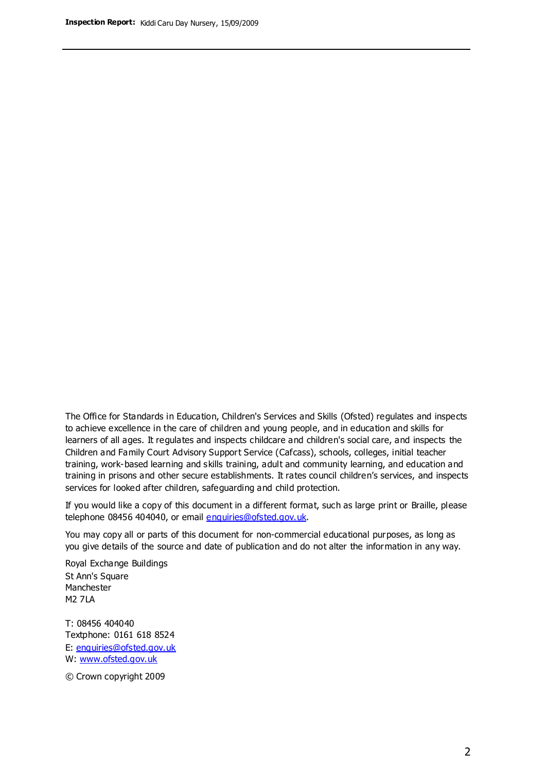The Office for Standards in Education, Children's Services and Skills (Ofsted) regulates and inspects to achieve excellence in the care of children and young people, and in education and skills for learners of all ages. It regulates and inspects childcare and children's social care, and inspects the Children and Family Court Advisory Support Service (Cafcass), schools, colleges, initial teacher training, work-based learning and skills training, adult and community learning, and education and training in prisons and other secure establishments. It rates council children's services, and inspects services for looked after children, safeguarding and child protection.

If you would like a copy of this document in a different format, such as large print or Braille, please telephone 08456 404040, or email enquiries@ofsted.gov.uk.

You may copy all or parts of this document for non-commercial educational purposes, as long as you give details of the source and date of publication and do not alter the information in any way.

Royal Exchange Buildings St Ann's Square Manchester M2 7LA

T: 08456 404040 Textphone: 0161 618 8524 E: enquiries@ofsted.gov.uk W: [www.ofsted.gov.uk](http://www.ofsted.gov.uk/)

© Crown copyright 2009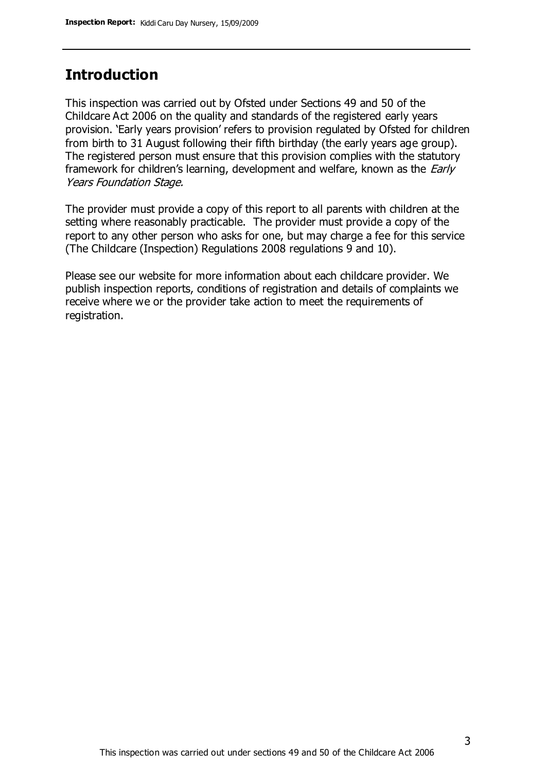## **Introduction**

This inspection was carried out by Ofsted under Sections 49 and 50 of the Childcare Act 2006 on the quality and standards of the registered early years provision. 'Early years provision' refers to provision regulated by Ofsted for children from birth to 31 August following their fifth birthday (the early years age group). The registered person must ensure that this provision complies with the statutory framework for children's learning, development and welfare, known as the *Early* Years Foundation Stage.

The provider must provide a copy of this report to all parents with children at the setting where reasonably practicable. The provider must provide a copy of the report to any other person who asks for one, but may charge a fee for this service (The Childcare (Inspection) Regulations 2008 regulations 9 and 10).

Please see our website for more information about each childcare provider. We publish inspection reports, conditions of registration and details of complaints we receive where we or the provider take action to meet the requirements of registration.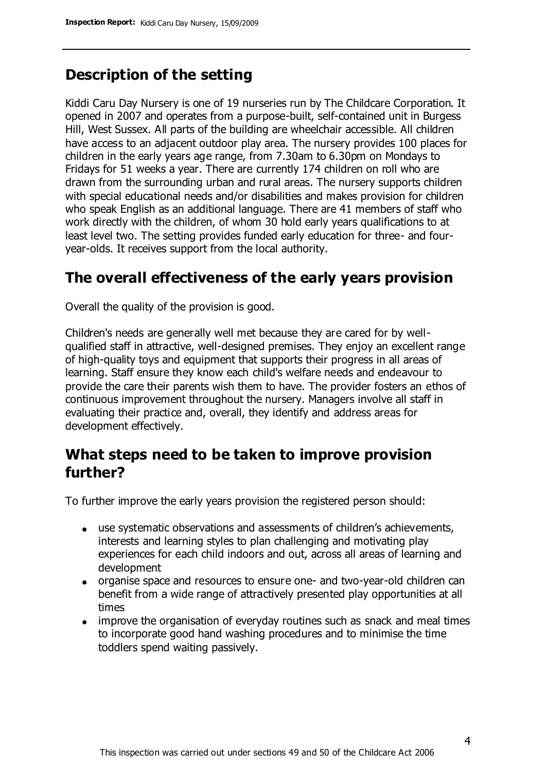# **Description of the setting**

Kiddi Caru Day Nursery is one of 19 nurseries run by The Childcare Corporation. It opened in 2007 and operates from a purpose-built, self-contained unit in Burgess Hill, West Sussex. All parts of the building are wheelchair accessible. All children have access to an adjacent outdoor play area. The nursery provides 100 places for children in the early years age range, from 7.30am to 6.30pm on Mondays to Fridays for 51 weeks a year. There are currently 174 children on roll who are drawn from the surrounding urban and rural areas. The nursery supports children with special educational needs and/or disabilities and makes provision for children who speak English as an additional language. There are 41 members of staff who work directly with the children, of whom 30 hold early years qualifications to at least level two. The setting provides funded early education for three- and fouryear-olds. It receives support from the local authority.

## **The overall effectiveness of the early years provision**

Overall the quality of the provision is good.

Children's needs are generally well met because they are cared for by wellqualified staff in attractive, well-designed premises. They enjoy an excellent range of high-quality toys and equipment that supports their progress in all areas of learning. Staff ensure they know each child's welfare needs and endeavour to provide the care their parents wish them to have. The provider fosters an ethos of continuous improvement throughout the nursery. Managers involve all staff in evaluating their practice and, overall, they identify and address areas for development effectively.

## **What steps need to be taken to improve provision further?**

To further improve the early years provision the registered person should:

- use systematic observations and assessments of children's achievements, interests and learning styles to plan challenging and motivating play experiences for each child indoors and out, across all areas of learning and development
- organise space and resources to ensure one- and two-year-old children can benefit from a wide range of attractively presented play opportunities at all times
- improve the organisation of everyday routines such as snack and meal times to incorporate good hand washing procedures and to minimise the time toddlers spend waiting passively.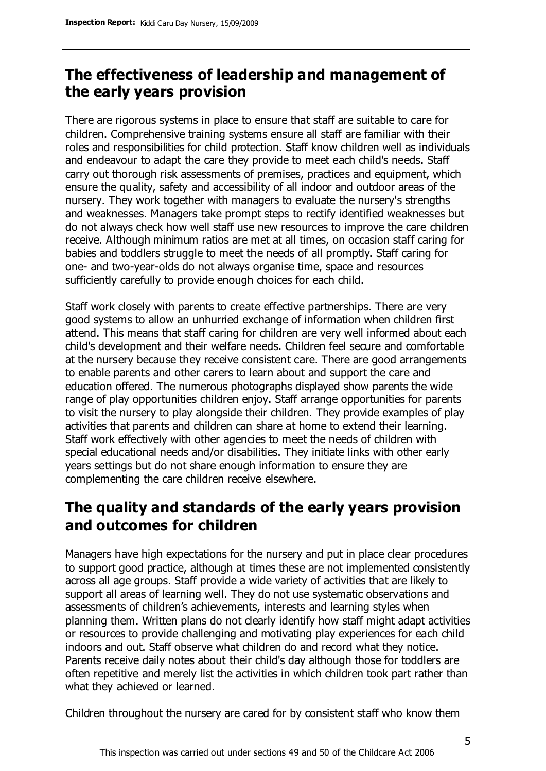# **The effectiveness of leadership and management of the early years provision**

There are rigorous systems in place to ensure that staff are suitable to care for children. Comprehensive training systems ensure all staff are familiar with their roles and responsibilities for child protection. Staff know children well as individuals and endeavour to adapt the care they provide to meet each child's needs. Staff carry out thorough risk assessments of premises, practices and equipment, which ensure the quality, safety and accessibility of all indoor and outdoor areas of the nursery. They work together with managers to evaluate the nursery's strengths and weaknesses. Managers take prompt steps to rectify identified weaknesses but do not always check how well staff use new resources to improve the care children receive. Although minimum ratios are met at all times, on occasion staff caring for babies and toddlers struggle to meet the needs of all promptly. Staff caring for one- and two-year-olds do not always organise time, space and resources sufficiently carefully to provide enough choices for each child.

Staff work closely with parents to create effective partnerships. There are very good systems to allow an unhurried exchange of information when children first attend. This means that staff caring for children are very well informed about each child's development and their welfare needs. Children feel secure and comfortable at the nursery because they receive consistent care. There are good arrangements to enable parents and other carers to learn about and support the care and education offered. The numerous photographs displayed show parents the wide range of play opportunities children enjoy. Staff arrange opportunities for parents to visit the nursery to play alongside their children. They provide examples of play activities that parents and children can share at home to extend their learning. Staff work effectively with other agencies to meet the needs of children with special educational needs and/or disabilities. They initiate links with other early years settings but do not share enough information to ensure they are complementing the care children receive elsewhere.

## **The quality and standards of the early years provision and outcomes for children**

Managers have high expectations for the nursery and put in place clear procedures to support good practice, although at times these are not implemented consistently across all age groups. Staff provide a wide variety of activities that are likely to support all areas of learning well. They do not use systematic observations and assessments of children's achievements, interests and learning styles when planning them. Written plans do not clearly identify how staff might adapt activities or resources to provide challenging and motivating play experiences for each child indoors and out. Staff observe what children do and record what they notice. Parents receive daily notes about their child's day although those for toddlers are often repetitive and merely list the activities in which children took part rather than what they achieved or learned.

Children throughout the nursery are cared for by consistent staff who know them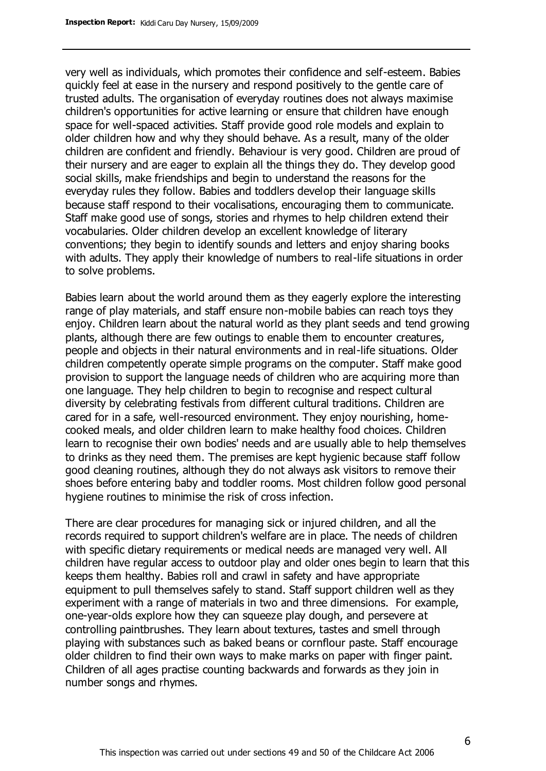very well as individuals, which promotes their confidence and self-esteem. Babies quickly feel at ease in the nursery and respond positively to the gentle care of trusted adults. The organisation of everyday routines does not always maximise children's opportunities for active learning or ensure that children have enough space for well-spaced activities. Staff provide good role models and explain to older children how and why they should behave. As a result, many of the older children are confident and friendly. Behaviour is very good. Children are proud of their nursery and are eager to explain all the things they do. They develop good social skills, make friendships and begin to understand the reasons for the everyday rules they follow. Babies and toddlers develop their language skills because staff respond to their vocalisations, encouraging them to communicate. Staff make good use of songs, stories and rhymes to help children extend their vocabularies. Older children develop an excellent knowledge of literary conventions; they begin to identify sounds and letters and enjoy sharing books with adults. They apply their knowledge of numbers to real-life situations in order to solve problems.

Babies learn about the world around them as they eagerly explore the interesting range of play materials, and staff ensure non-mobile babies can reach toys they enjoy. Children learn about the natural world as they plant seeds and tend growing plants, although there are few outings to enable them to encounter creatures, people and objects in their natural environments and in real-life situations. Older children competently operate simple programs on the computer. Staff make good provision to support the language needs of children who are acquiring more than one language. They help children to begin to recognise and respect cultural diversity by celebrating festivals from different cultural traditions. Children are cared for in a safe, well-resourced environment. They enjoy nourishing, homecooked meals, and older children learn to make healthy food choices. Children learn to recognise their own bodies' needs and are usually able to help themselves to drinks as they need them. The premises are kept hygienic because staff follow good cleaning routines, although they do not always ask visitors to remove their shoes before entering baby and toddler rooms. Most children follow good personal hygiene routines to minimise the risk of cross infection.

There are clear procedures for managing sick or injured children, and all the records required to support children's welfare are in place. The needs of children with specific dietary requirements or medical needs are managed very well. All children have regular access to outdoor play and older ones begin to learn that this keeps them healthy. Babies roll and crawl in safety and have appropriate equipment to pull themselves safely to stand. Staff support children well as they experiment with a range of materials in two and three dimensions. For example, one-year-olds explore how they can squeeze play dough, and persevere at controlling paintbrushes. They learn about textures, tastes and smell through playing with substances such as baked beans or cornflour paste. Staff encourage older children to find their own ways to make marks on paper with finger paint. Children of all ages practise counting backwards and forwards as they join in number songs and rhymes.